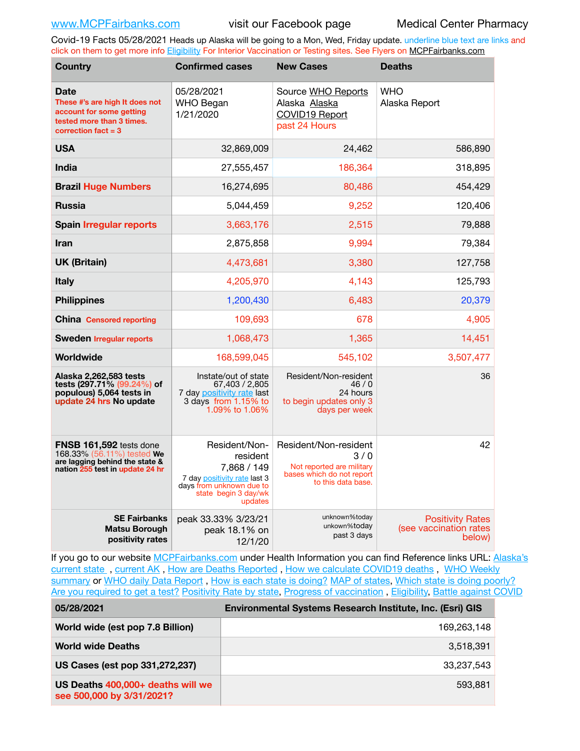Covid-19 Facts 05/28/2021 Heads up Alaska will be going to a Mon, Wed, Friday update. underline blue text are links and click on them to get more info [Eligibility](http://dhss.alaska.gov/dph/Epi/id/Pages/COVID-19/VaccineAvailability.aspx) For Interior Vaccination or Testing sites. See Flyers on [MCPFairbanks.com](http://www.MCPFairbanks.com)

| <b>Country</b>                                                                                                                  | <b>Confirmed cases</b>                                                                                                                  | <b>New Cases</b>                                                                                             | <b>Deaths</b>                                               |
|---------------------------------------------------------------------------------------------------------------------------------|-----------------------------------------------------------------------------------------------------------------------------------------|--------------------------------------------------------------------------------------------------------------|-------------------------------------------------------------|
| <b>Date</b><br>These #'s are high It does not<br>account for some getting<br>tested more than 3 times.<br>correction $fact = 3$ | 05/28/2021<br><b>WHO Began</b><br>1/21/2020                                                                                             | Source WHO Reports<br>Alaska Alaska<br>COVID19 Report<br>past 24 Hours                                       | <b>WHO</b><br>Alaska Report                                 |
| <b>USA</b>                                                                                                                      | 32,869,009                                                                                                                              | 24,462                                                                                                       | 586,890                                                     |
| <b>India</b>                                                                                                                    | 27,555,457                                                                                                                              | 186,364                                                                                                      | 318,895                                                     |
| <b>Brazil Huge Numbers</b>                                                                                                      | 16,274,695                                                                                                                              | 80,486                                                                                                       | 454,429                                                     |
| <b>Russia</b>                                                                                                                   | 5,044,459                                                                                                                               | 9,252                                                                                                        | 120,406                                                     |
| <b>Spain Irregular reports</b>                                                                                                  | 3,663,176                                                                                                                               | 2,515                                                                                                        | 79,888                                                      |
| <b>Iran</b>                                                                                                                     | 2,875,858                                                                                                                               | 9,994                                                                                                        | 79,384                                                      |
| <b>UK (Britain)</b>                                                                                                             | 4,473,681                                                                                                                               | 3,380                                                                                                        | 127,758                                                     |
| <b>Italy</b>                                                                                                                    | 4,205,970                                                                                                                               | 4,143                                                                                                        | 125,793                                                     |
| <b>Philippines</b>                                                                                                              | 1,200,430                                                                                                                               | 6,483                                                                                                        | 20,379                                                      |
| <b>China</b> Censored reporting                                                                                                 | 109,693                                                                                                                                 | 678                                                                                                          | 4,905                                                       |
| <b>Sweden Irregular reports</b>                                                                                                 | 1,068,473                                                                                                                               | 1,365                                                                                                        | 14,451                                                      |
| Worldwide                                                                                                                       | 168,599,045                                                                                                                             | 545,102                                                                                                      | 3,507,477                                                   |
| Alaska 2,262,583 tests<br>tests (297.71% (99.24%) of<br>populous) 5,064 tests in<br>update 24 hrs No update                     | Instate/out of state<br>67,403 / 2,805<br>7 day positivity rate last<br>3 days from 1.15% to<br>1.09% to 1.06%                          | Resident/Non-resident<br>46/0<br>24 hours<br>to begin updates only 3<br>days per week                        | 36                                                          |
| FNSB 161,592 tests done<br>168.33% (56.11%) tested We<br>are lagging behind the state &<br>nation 255 test in update 24 hr      | Resident/Non-<br>resident<br>7,868 / 149<br>7 day positivity rate last 3<br>days from unknown due to<br>state begin 3 day/wk<br>updates | Resident/Non-resident<br>3/0<br>Not reported are military<br>bases which do not report<br>to this data base. | 42                                                          |
| <b>SE Fairbanks</b><br><b>Matsu Borough</b><br>positivity rates                                                                 | peak 33.33% 3/23/21<br>peak 18.1% on<br>12/1/20                                                                                         | unknown%today<br>unkown%today<br>past 3 days                                                                 | <b>Positivity Rates</b><br>(see vaccination rates<br>below) |

If you go to our website [MCPFairbanks.com](http://www.MCPFairbanks.com) under Health Information you can find Reference links URL: Alaska's [current state](https://coronavirus-response-alaska-dhss.hub.arcgis.com) , [current AK](http://dhss.alaska.gov/dph/Epi/id/Pages/COVID-19/communications.aspx#cases) , [How are Deaths Reported](http://dhss.alaska.gov/dph/Epi/id/Pages/COVID-19/deathcounts.aspx) , [How we calculate COVID19 deaths](https://coronavirus-response-alaska-dhss.hub.arcgis.com/search?collection=Document&groupIds=41ccb3344ebc4bd682c74073eba21f42) , [WHO Weekly](http://www.who.int)  [summary](http://www.who.int) or [WHO daily Data Report](https://covid19.who.int/table), [How is each state is doing?](https://www.msn.com/en-us/news/us/state-by-state-coronavirus-news/ar-BB13E1PX?fbclid=IwAR0_OBJH7lSyTN3ug_MsOeFnNgB1orTa9OBgilKJ7dhnwlVvHEsptuKkj1c) [MAP of states,](https://www.nationalgeographic.com/science/graphics/graphic-tracking-coronavirus-infections-us?cmpid=org=ngp::mc=crm-email::src=ngp::cmp=editorial::add=SpecialEdition_20210305&rid=B9A6DF5992658E8E35CE023113CFEA4C) [Which state is doing poorly?](https://bestlifeonline.com/covid-outbreak-your-state/?utm_source=nsltr&utm_medium=email&utm_content=covid-outbreak-your-state&utm_campaign=launch) [Are you required to get a test?](http://dhss.alaska.gov/dph/Epi/id/SiteAssets/Pages/HumanCoV/Whattodoafteryourtest.pdf) [Positivity Rate by state](https://coronavirus.jhu.edu/testing/individual-states/alaska), Progress of vaccination, [Eligibility,](http://dhss.alaska.gov/dph/Epi/id/Pages/COVID-19/VaccineAvailability.aspx) [Battle against COVID](https://www.nationalgeographic.com/science/graphics/graphic-tracking-coronavirus-infections-us?cmpid=org=ngp::mc=crm-email::src=ngp::cmp=editorial::add=SpecialEdition_20210219&rid=B9A6DF5992658E8E35CE023113CFEA4C)

| 05/28/2021                                                     | Environmental Systems Research Institute, Inc. (Esri) GIS |
|----------------------------------------------------------------|-----------------------------------------------------------|
| World wide (est pop 7.8 Billion)                               | 169.263.148                                               |
| <b>World wide Deaths</b>                                       | 3,518,391                                                 |
| US Cases (est pop 331,272,237)                                 | 33.237.543                                                |
| US Deaths 400,000+ deaths will we<br>see 500,000 by 3/31/2021? | 593.881                                                   |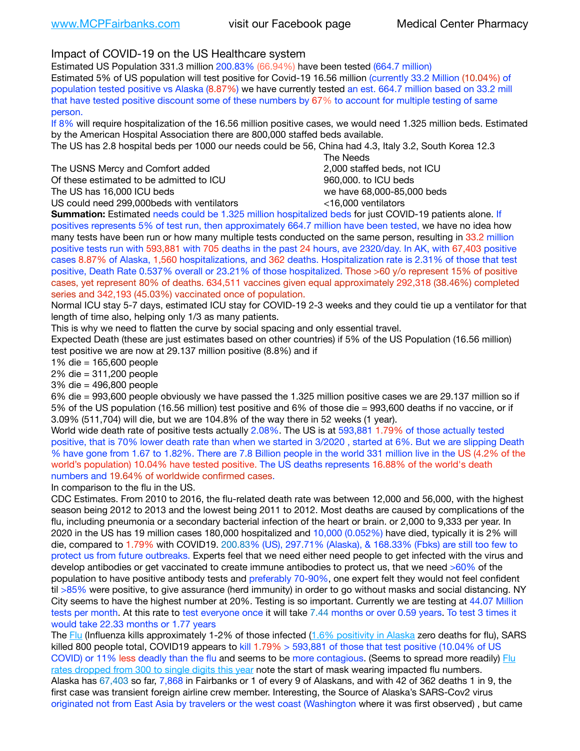## Impact of COVID-19 on the US Healthcare system

Estimated US Population 331.3 million 200.83% (66.94%) have been tested (664.7 million)

Estimated 5% of US population will test positive for Covid-19 16.56 million (currently 33.2 Million (10.04%) of population tested positive vs Alaska (8.87%) we have currently tested an est. 664.7 million based on 33.2 mill that have tested positive discount some of these numbers by 67% to account for multiple testing of same person.

If 8% will require hospitalization of the 16.56 million positive cases, we would need 1.325 million beds. Estimated by the American Hospital Association there are 800,000 staffed beds available.

The US has 2.8 hospital beds per 1000 our needs could be 56, China had 4.3, Italy 3.2, South Korea 12.3

The USNS Mercy and Comfort added 2,000 staffed beds, not ICU Of these estimated to be admitted to ICU **860,000**, to ICU beds

 The Needs The US has 16,000 ICU beds we have 68,000-85,000 beds

US could need 299,000 beds with ventilators  $\leq$ 16,000 ventilators

**Summation:** Estimated needs could be 1.325 million hospitalized beds for just COVID-19 patients alone. If positives represents 5% of test run, then approximately 664.7 million have been tested, we have no idea how many tests have been run or how many multiple tests conducted on the same person, resulting in 33.2 million positive tests run with 593,881 with 705 deaths in the past 24 hours, ave 2320/day. In AK, with 67,403 positive cases 8.87% of Alaska, 1,560 hospitalizations, and 362 deaths. Hospitalization rate is 2.31% of those that test positive, Death Rate 0.537% overall or 23.21% of those hospitalized. Those >60 y/o represent 15% of positive cases, yet represent 80% of deaths. 634,511 vaccines given equal approximately 292,318 (38.46%) completed series and 342,193 (45.03%) vaccinated once of population.

Normal ICU stay 5-7 days, estimated ICU stay for COVID-19 2-3 weeks and they could tie up a ventilator for that length of time also, helping only 1/3 as many patients.

This is why we need to flatten the curve by social spacing and only essential travel.

Expected Death (these are just estimates based on other countries) if 5% of the US Population (16.56 million) test positive we are now at 29.137 million positive (8.8%) and if

1% die = 165,600 people

2% die = 311,200 people

3% die = 496,800 people

6% die = 993,600 people obviously we have passed the 1.325 million positive cases we are 29.137 million so if 5% of the US population (16.56 million) test positive and 6% of those die = 993,600 deaths if no vaccine, or if 3.09% (511,704) will die, but we are 104.8% of the way there in 52 weeks (1 year).

World wide death rate of positive tests actually 2.08%. The US is at 593,881 1.79% of those actually tested positive, that is 70% lower death rate than when we started in 3/2020 , started at 6%. But we are slipping Death % have gone from 1.67 to 1.82%. There are 7.8 Billion people in the world 331 million live in the US (4.2% of the world's population) 10.04% have tested positive. The US deaths represents 16.88% of the world's death numbers and 19.64% of worldwide confirmed cases.

In comparison to the flu in the US.

CDC Estimates. From 2010 to 2016, the flu-related death rate was between 12,000 and 56,000, with the highest season being 2012 to 2013 and the lowest being 2011 to 2012. Most deaths are caused by complications of the flu, including pneumonia or a secondary bacterial infection of the heart or brain. or 2,000 to 9,333 per year. In 2020 in the US has 19 million cases 180,000 hospitalized and 10,000 (0.052%) have died, typically it is 2% will die, compared to 1.79% with COVID19. 200.83% (US), 297.71% (Alaska), & 168.33% (Fbks) are still too few to protect us from future outbreaks. Experts feel that we need either need people to get infected with the virus and develop antibodies or get vaccinated to create immune antibodies to protect us, that we need >60% of the population to have positive antibody tests and preferably 70-90%, one expert felt they would not feel confident til >85% were positive, to give assurance (herd immunity) in order to go without masks and social distancing. NY City seems to have the highest number at 20%. Testing is so important. Currently we are testing at 44.07 Million tests per month. At this rate to test everyone once it will take 7.44 months or over 0.59 years. To test 3 times it would take 22.33 months or 1.77 years

The [Flu](https://lnks.gd/l/eyJhbGciOiJIUzI1NiJ9.eyJidWxsZXRpbl9saW5rX2lkIjoxMDMsInVyaSI6ImJwMjpjbGljayIsImJ1bGxldGluX2lkIjoiMjAyMTAyMjYuMzYwNDA3NTEiLCJ1cmwiOiJodHRwczovL3d3dy5jZGMuZ292L2ZsdS93ZWVrbHkvb3ZlcnZpZXcuaHRtIn0.ePMA_hsZ-pTnhWSyg1gHvHWYTu2XceVOt0JejxvP1WE/s/500544915/br/98428119752-l) (Influenza kills approximately 1-2% of those infected ([1.6% positivity in Alaska](http://dhss.alaska.gov/dph/Epi/id/SiteAssets/Pages/influenza/trends/Snapshot.pdf) zero deaths for flu), SARS killed 800 people total, COVID19 appears to kill 1.79% > 593,881 of those that test positive (10.04% of US COVID) or 11% less deadly than the flu and seems to be more contagious. (Seems to spread more readily) [Flu](https://lnks.gd/l/eyJhbGciOiJIUzI1NiJ9.eyJidWxsZXRpbl9saW5rX2lkIjoxMDEsInVyaSI6ImJwMjpjbGljayIsImJ1bGxldGluX2lkIjoiMjAyMTAyMjYuMzYwNDA3NTEiLCJ1cmwiOiJodHRwOi8vZGhzcy5hbGFza2EuZ292L2RwaC9FcGkvaWQvUGFnZXMvaW5mbHVlbnphL2ZsdWluZm8uYXNweCJ9.oOe3nt2fww6XpsNhb4FZfmtPfPa-irGaldpkURBJhSo/s/500544915/br/98428119752-l)  [rates dropped from 300 to single digits this year](https://lnks.gd/l/eyJhbGciOiJIUzI1NiJ9.eyJidWxsZXRpbl9saW5rX2lkIjoxMDEsInVyaSI6ImJwMjpjbGljayIsImJ1bGxldGluX2lkIjoiMjAyMTAyMjYuMzYwNDA3NTEiLCJ1cmwiOiJodHRwOi8vZGhzcy5hbGFza2EuZ292L2RwaC9FcGkvaWQvUGFnZXMvaW5mbHVlbnphL2ZsdWluZm8uYXNweCJ9.oOe3nt2fww6XpsNhb4FZfmtPfPa-irGaldpkURBJhSo/s/500544915/br/98428119752-l) note the start of mask wearing impacted flu numbers. Alaska has 67,403 so far, 7,868 in Fairbanks or 1 of every 9 of Alaskans, and with 42 of 362 deaths 1 in 9, the first case was transient foreign airline crew member. Interesting, the Source of Alaska's SARS-Cov2 virus originated not from East Asia by travelers or the west coast (Washington where it was first observed) , but came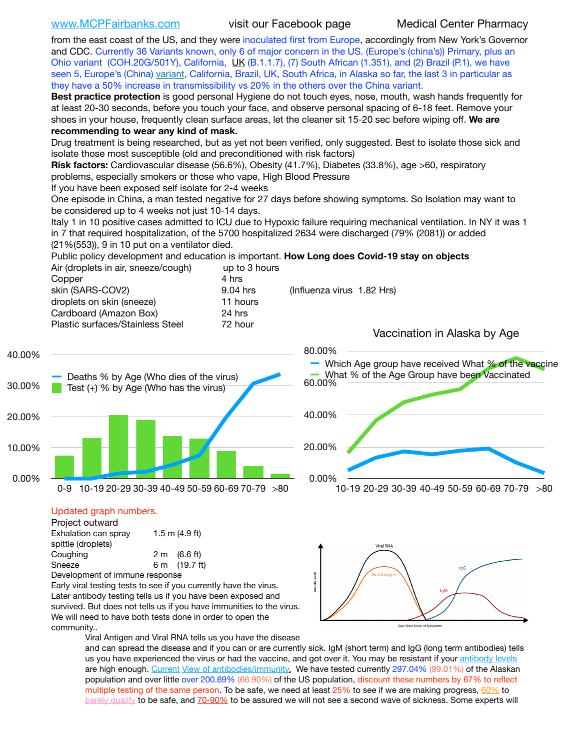[www.MCPFairbanks.com](http://www.MCPFairbanks.com) visit our Facebook page Medical Center Pharmacy

from the east coast of the US, and they were inoculated first from Europe, accordingly from New York's Governor and CDC. Currently 36 Variants known, only 6 of major concern in the US. (Europe's (china's)) Primary, plus an Ohio variant (COH.20G/501Y), California, [UK](https://www.cdc.gov/coronavirus/2019-ncov/transmission/variant-cases.html) (B.1.1.7), (7) South African (1.351), and (2) Brazil (P.1), we have seen 5, Europe's (China) [variant,](https://www.webmd.com/lung/news/20210318/cdc-who-create-threat-levels-for-covid-variants?ecd=wnl_cvd_031921&ctr=wnl-cvd-031921&mb=kYbf7DsHb7YGjh/1RUkcAW0T6iorImAU1TDZh18RYs0=_Support_titleLink_2) California, Brazil, UK, South Africa, in Alaska so far, the last 3 in particular as they have a 50% increase in transmissibility vs 20% in the others over the China variant.

**Best practice protection** is good personal Hygiene do not touch eyes, nose, mouth, wash hands frequently for at least 20-30 seconds, before you touch your face, and observe personal spacing of 6-18 feet. Remove your shoes in your house, frequently clean surface areas, let the cleaner sit 15-20 sec before wiping off. **We are recommending to wear any kind of mask.**

Drug treatment is being researched, but as yet not been verified, only suggested. Best to isolate those sick and isolate those most susceptible (old and preconditioned with risk factors)

**Risk factors:** Cardiovascular disease (56.6%), Obesity (41.7%), Diabetes (33.8%), age >60, respiratory problems, especially smokers or those who vape, High Blood Pressure

If you have been exposed self isolate for 2-4 weeks

One episode in China, a man tested negative for 27 days before showing symptoms. So Isolation may want to be considered up to 4 weeks not just 10-14 days.

Italy 1 in 10 positive cases admitted to ICU due to Hypoxic failure requiring mechanical ventilation. In NY it was 1 in 7 that required hospitalization, of the 5700 hospitalized 2634 were discharged (79% (2081)) or added (21%(553)), 9 in 10 put on a ventilator died.

Public policy development and education is important. **How Long does Covid-19 stay on objects** Air (droplets in air, sneeze/cough) up to 3 hours

| Copper                           | 4 hrs      |                              |
|----------------------------------|------------|------------------------------|
| skin (SARS-COV2)                 | $9.04$ hrs | (Influenza virus 1.82 Hrs)   |
| droplets on skin (sneeze)        | 11 hours   |                              |
| Cardboard (Amazon Box)           | 24 hrs     |                              |
| Plastic surfaces/Stainless Steel | 72 hour    |                              |
|                                  |            | Vaccination in Alaska by Age |



| Project outward                |  |                  |  |  |
|--------------------------------|--|------------------|--|--|
| Exhalation can spray           |  | 1.5 m $(4.9$ ft) |  |  |
| spittle (droplets)             |  |                  |  |  |
| Coughing                       |  | 2 m (6.6 ft)     |  |  |
| Sneeze                         |  | 6 m (19.7 ft)    |  |  |
| Development of immune response |  |                  |  |  |

Early viral testing tests to see if you currently have the virus. Later antibody testing tells us if you have been exposed and survived. But does not tells us if you have immunities to the virus. We will need to have both tests done in order to open the community..

Viral RNA Days Since Onset of Symptom:

Viral Antigen and Viral RNA tells us you have the disease

and can spread the disease and if you can or are currently sick. IgM (short term) and IgG (long term antibodies) tells us you have experienced the virus or had the vaccine, and got over it. You may be resistant if your [antibody levels](https://www.cdc.gov/coronavirus/2019-ncov/lab/resources/antibody-tests.html) are high enough. [Current](https://l.facebook.com/l.php?u=https://www.itv.com/news/2020-10-26/covid-19-antibody-levels-reduce-over-time-study-finds?fbclid=IwAR3Dapzh1qIH1EIOdUQI2y8THf7jfA4KBCaJz8Qg-8xe1YsrR4nsAHDIXSY&h=AT30nut8pkqp0heVuz5W2rT2WFFm-2Ab52BsJxZZCNlGsX58IpPkuVEPULbIUV_M16MAukx1Kwb657DPXxsgDN1rpOQ4gqBtQsmVYiWpnHPJo2RQsU6CPMd14lgLnQnFWxfVi6zvmw&__tn__=-UK-R&c%5B0%5D=AT1GaRAfR_nGAyqcn7TI1-PpvqOqEKXHnz6TDWvRStMnOSH7boQDvTiwTOc6VId9UES6LKiOmm2m88wKCoolkJyOFvakt2Z1Mw8toYWGGoWW23r0MNVBl7cYJXB_UOvGklNHaNnaNr1_S7NhT3BSykNOBg) [View of antibodies/immunity](https://www.livescience.com/antibodies.html)[.](https://www.itv.com/news/2020-10-26/covid-19-antibody-levels-reduce-over-time-study-finds) We have tested currently 297.04% (99.01%) of the Alaskan population and over little over 200.69% (66.90%) of the US population, discount these numbers by 67% to reflect multiple testing of the same person. To be safe, we need at least 25% to see if we are making progress, [60%](https://www.jhsph.edu/covid-19/articles/achieving-herd-immunity-with-covid19.html) to [barely qualify](https://www.nature.com/articles/d41586-020-02948-4) to be safe, and [70-90%](https://www.mayoclinic.org/herd-immunity-and-coronavirus/art-20486808) to be assured we will not see a second wave of sickness. Some experts will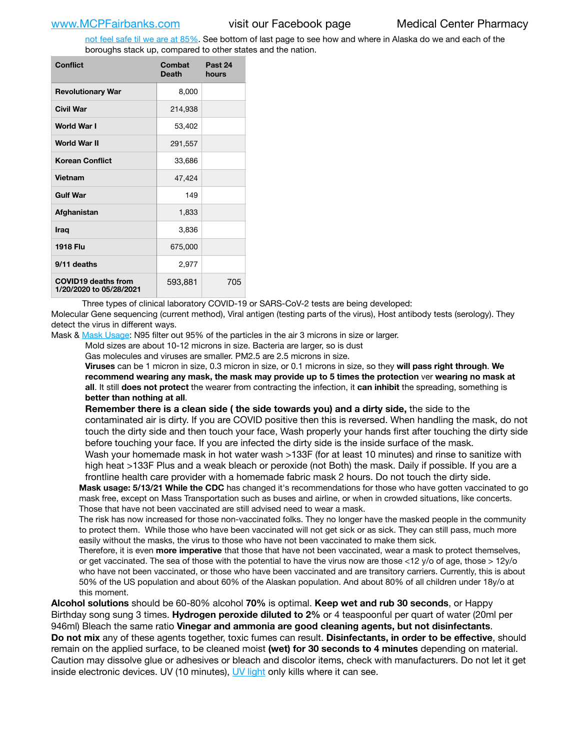[not feel safe til we are at 85%](https://www.bannerhealth.com/healthcareblog/teach-me/what-is-herd-immunity). See bottom of last page to see how and where in Alaska do we and each of the boroughs stack up, compared to other states and the nation.

| <b>Conflict</b>                                       | Combat<br><b>Death</b> | Past 24<br>hours |
|-------------------------------------------------------|------------------------|------------------|
| <b>Revolutionary War</b>                              | 8,000                  |                  |
| Civil War                                             | 214,938                |                  |
| World War I                                           | 53,402                 |                  |
| <b>World War II</b>                                   | 291,557                |                  |
| <b>Korean Conflict</b>                                | 33,686                 |                  |
| <b>Vietnam</b>                                        | 47,424                 |                  |
| <b>Gulf War</b>                                       | 149                    |                  |
| Afghanistan                                           | 1,833                  |                  |
| <b>Iraq</b>                                           | 3,836                  |                  |
| <b>1918 Flu</b>                                       | 675,000                |                  |
| 9/11 deaths                                           | 2,977                  |                  |
| <b>COVID19 deaths from</b><br>1/20/2020 to 05/28/2021 | 593,881                | 705              |

Three types of clinical laboratory COVID-19 or SARS-CoV-2 tests are being developed:

Molecular Gene sequencing (current method), Viral antigen (testing parts of the virus), Host antibody tests (serology). They detect the virus in different ways.

Mask & [Mask Usage:](https://www.nationalgeographic.com/history/2020/03/how-cities-flattened-curve-1918-spanish-flu-pandemic-coronavirus/) N95 filter out 95% of the particles in the air 3 microns in size or larger.

Mold sizes are about 10-12 microns in size. Bacteria are larger, so is dust

Gas molecules and viruses are smaller. PM2.5 are 2.5 microns in size.

**Viruses** can be 1 micron in size, 0.3 micron in size, or 0.1 microns in size, so they **will pass right through**. **We recommend wearing any mask, the mask may provide up to 5 times the protection** ver **wearing no mask at all**. It still **does not protect** the wearer from contracting the infection, it **can inhibit** the spreading, something is **better than nothing at all**.

**Remember there is a clean side ( the side towards you) and a dirty side,** the side to the contaminated air is dirty. If you are COVID positive then this is reversed. When handling the mask, do not touch the dirty side and then touch your face, Wash properly your hands first after touching the dirty side before touching your face. If you are infected the dirty side is the inside surface of the mask. Wash your homemade mask in hot water wash >133F (for at least 10 minutes) and rinse to sanitize with

high heat >133F Plus and a weak bleach or peroxide (not Both) the mask. Daily if possible. If you are a frontline health care provider with a homemade fabric mask 2 hours. Do not touch the dirty side.

**Mask usage: 5/13/21 While the CDC** has changed it's recommendations for those who have gotten vaccinated to go mask free, except on Mass Transportation such as buses and airline, or when in crowded situations, like concerts. Those that have not been vaccinated are still advised need to wear a mask.

The risk has now increased for those non-vaccinated folks. They no longer have the masked people in the community to protect them. While those who have been vaccinated will not get sick or as sick. They can still pass, much more easily without the masks, the virus to those who have not been vaccinated to make them sick.

Therefore, it is even **more imperative** that those that have not been vaccinated, wear a mask to protect themselves, or get vaccinated. The sea of those with the potential to have the virus now are those <12 y/o of age, those >  $12y$ /o who have not been vaccinated, or those who have been vaccinated and are transitory carriers. Currently, this is about 50% of the US population and about 60% of the Alaskan population. And about 80% of all children under 18y/o at this moment.

**Alcohol solutions** should be 60-80% alcohol **70%** is optimal. **Keep wet and rub 30 seconds**, or Happy Birthday song sung 3 times. **Hydrogen peroxide diluted to 2%** or 4 teaspoonful per quart of water (20ml per 946ml) Bleach the same ratio **Vinegar and ammonia are good cleaning agents, but not disinfectants**. **Do not mix** any of these agents together, toxic fumes can result. **Disinfectants, in order to be effective**, should remain on the applied surface, to be cleaned moist **(wet) for 30 seconds to 4 minutes** depending on material. Caution may dissolve glue or adhesives or bleach and discolor items, check with manufacturers. Do not let it get inside electronic devices. UV (10 minutes), [UV light](http://www.docreviews.me/best-uv-boxes-2020/?fbclid=IwAR3bvFtXB48OoBBSvYvTEnKuHNPbipxM6jUo82QUSw9wckxjC7wwRZWabGw) only kills where it can see.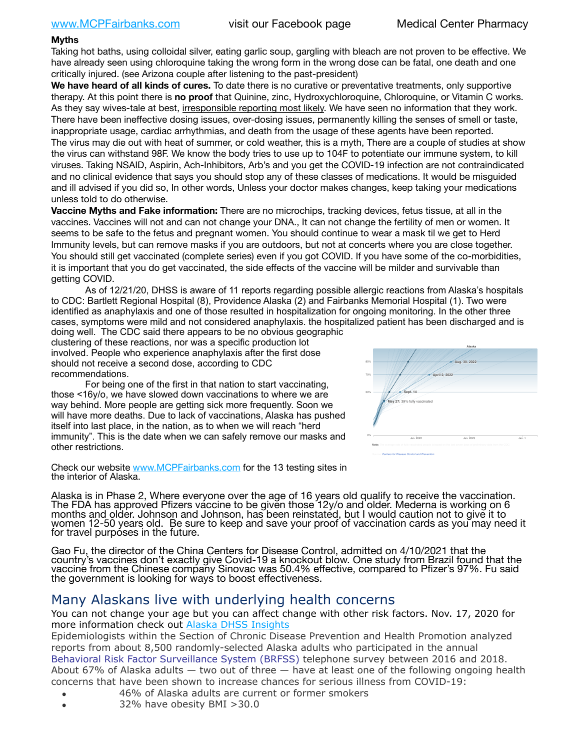### **Myths**

Taking hot baths, using colloidal silver, eating garlic soup, gargling with bleach are not proven to be effective. We have already seen using chloroquine taking the wrong form in the wrong dose can be fatal, one death and one critically injured. (see Arizona couple after listening to the past-president)

**We have heard of all kinds of cures.** To date there is no curative or preventative treatments, only supportive therapy. At this point there is **no proof** that Quinine, zinc, Hydroxychloroquine, Chloroquine, or Vitamin C works. As they say wives-tale at best, irresponsible reporting most likely. We have seen no information that they work. There have been ineffective dosing issues, over-dosing issues, permanently killing the senses of smell or taste, inappropriate usage, cardiac arrhythmias, and death from the usage of these agents have been reported. The virus may die out with heat of summer, or cold weather, this is a myth, There are a couple of studies at show the virus can withstand 98F. We know the body tries to use up to 104F to potentiate our immune system, to kill viruses. Taking NSAID, Aspirin, Ach-Inhibitors, Arb's and you get the COVID-19 infection are not contraindicated and no clinical evidence that says you should stop any of these classes of medications. It would be misguided and ill advised if you did so, In other words, Unless your doctor makes changes, keep taking your medications unless told to do otherwise.

**Vaccine Myths and Fake information:** There are no microchips, tracking devices, fetus tissue, at all in the vaccines. Vaccines will not and can not change your DNA., It can not change the fertility of men or women. It seems to be safe to the fetus and pregnant women. You should continue to wear a mask til we get to Herd Immunity levels, but can remove masks if you are outdoors, but not at concerts where you are close together. You should still get vaccinated (complete series) even if you got COVID. If you have some of the co-morbidities, it is important that you do get vaccinated, the side effects of the vaccine will be milder and survivable than getting COVID.

As of 12/21/20, DHSS is aware of 11 reports regarding possible allergic reactions from Alaska's hospitals to CDC: Bartlett Regional Hospital (8), Providence Alaska (2) and Fairbanks Memorial Hospital (1). Two were identified as anaphylaxis and one of those resulted in hospitalization for ongoing monitoring. In the other three cases, symptoms were mild and not considered anaphylaxis. the hospitalized patient has been discharged and is

doing well. The CDC said there appears to be no obvious geographic clustering of these reactions, nor was a specific production lot involved. People who experience anaphylaxis after the first dose should not receive a second dose, according to CDC recommendations.

For being one of the first in that nation to start vaccinating, those <16y/o, we have slowed down vaccinations to where we are way behind. More people are getting sick more frequently. Soon we will have more deaths. Due to lack of vaccinations, Alaska has pushed itself into last place, in the nation, as to when we will reach "herd immunity". This is the date when we can safely remove our masks and other restrictions.

Check our website [www.MCPFairbanks.com](http://www.MCPFairbanks.com) for the 13 testing sites in the interior of Alaska.



Gao Fu, the director of the China Centers for Disease Control, admitted on 4/10/2021 that the country's vaccines don't exactly give Covid-19 a knockout blow. One study from Brazil found that the vaccine from the Chinese company Sinovac was 50.4% effective, compared to Pfizer's 97%. Fu said the government is looking for ways to boost effectiveness.

# Many Alaskans live with underlying health concerns

You can not change your age but you can affect change with other risk factors. Nov. 17, 2020 for more information check out [Alaska DHSS Insights](http://dhss.alaska.gov/dph/Epi/id/Pages/COVID-19/blog/20201117.aspx)

Epidemiologists within the Section of Chronic Disease Prevention and Health Promotion analyzed reports from about 8,500 randomly-selected Alaska adults who participated in the annual [Behavioral Risk Factor Surveillance System \(BRFSS\)](http://dhss.alaska.gov/dph/Chronic/Pages/brfss/default.aspx) telephone survey between 2016 and 2018. About 67% of Alaska adults — two out of three — have at least one of the following ongoing health concerns that have been shown to increase chances for serious illness from COVID-19:

- 46% of Alaska adults are current or former smokers
- 32% have obesity BMI >30.0